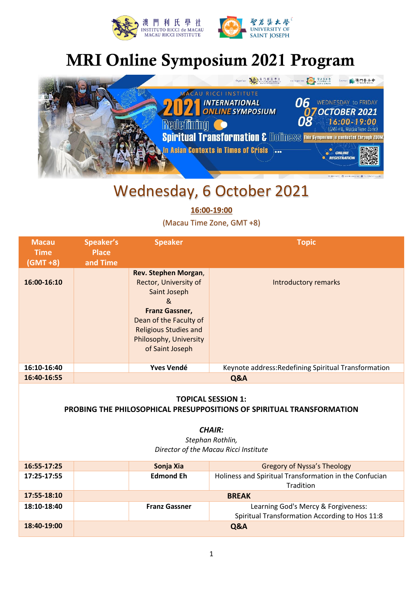



# MRI Online Symposium 2021 Program



### Wednesday, 6 October 2021

**16:00-19:00**

(Macau Time Zone, GMT +8)

| <b>Macau</b><br><b>Time</b><br>$(GMT + 8)$ | Speaker's<br><b>Place</b><br>and Time | <b>Speaker</b>                                                                                                                                                                                     | <b>Topic</b>                                         |
|--------------------------------------------|---------------------------------------|----------------------------------------------------------------------------------------------------------------------------------------------------------------------------------------------------|------------------------------------------------------|
| 16:00-16:10                                |                                       | Rev. Stephen Morgan,<br>Rector, University of<br>Saint Joseph<br>&<br><b>Franz Gassner,</b><br>Dean of the Faculty of<br><b>Religious Studies and</b><br>Philosophy, University<br>of Saint Joseph | <b>Introductory remarks</b>                          |
| 16:10-16:40                                |                                       | <b>Yves Vendé</b>                                                                                                                                                                                  | Keynote address: Redefining Spiritual Transformation |
| 16:40-16:55                                |                                       |                                                                                                                                                                                                    | Q&A                                                  |

#### **TOPICAL SESSION 1:**

**PROBING THE PHILOSOPHICAL PRESUPPOSITIONS OF SPIRITUAL TRANSFORMATION**

*CHAIR:*

*Stephan Rothlin, Director of the Macau Ricci Institute*

| 16:55-17:25 | Sonja Xia            | <b>Gregory of Nyssa's Theology</b>                     |
|-------------|----------------------|--------------------------------------------------------|
| 17:25-17:55 | <b>Edmond Eh</b>     | Holiness and Spiritual Transformation in the Confucian |
|             |                      | <b>Tradition</b>                                       |
| 17:55-18:10 | <b>BREAK</b>         |                                                        |
| 18:10-18:40 | <b>Franz Gassner</b> | Learning God's Mercy & Forgiveness:                    |
|             |                      | Spiritual Transformation According to Hos 11:8         |
| 18:40-19:00 |                      | Q&A                                                    |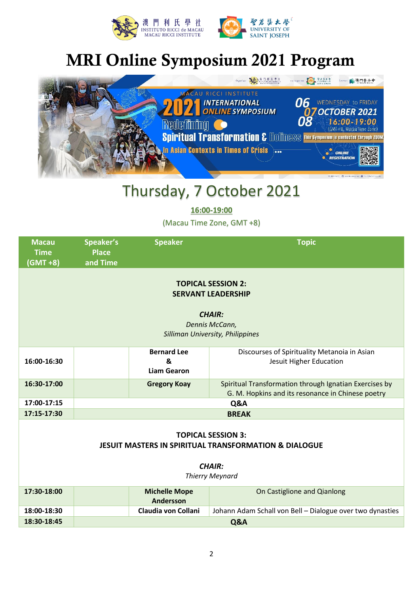



# MRI Online Symposium 2021 Program



#### Thursday, 7 October 2021

**16:00-19:00**

(Macau Time Zone, GMT +8)

| <b>Macau</b><br><b>Time</b><br>(GMT +8)                                                                                                  | Speaker's<br><b>Place</b><br>and Time | <b>Speaker</b>                                | <b>Topic</b>                                                                                                |  |  |
|------------------------------------------------------------------------------------------------------------------------------------------|---------------------------------------|-----------------------------------------------|-------------------------------------------------------------------------------------------------------------|--|--|
| <b>TOPICAL SESSION 2:</b><br><b>SERVANT LEADERSHIP</b><br><b>CHAIR:</b><br>Dennis McCann,<br>Silliman University, Philippines            |                                       |                                               |                                                                                                             |  |  |
| 16:00-16:30                                                                                                                              |                                       | <b>Bernard Lee</b><br>&<br><b>Liam Gearon</b> | Discourses of Spirituality Metanoia in Asian<br>Jesuit Higher Education                                     |  |  |
| 16:30-17:00                                                                                                                              |                                       | <b>Gregory Koay</b>                           | Spiritual Transformation through Ignatian Exercises by<br>G. M. Hopkins and its resonance in Chinese poetry |  |  |
| 17:00-17:15                                                                                                                              | Q&A                                   |                                               |                                                                                                             |  |  |
| 17:15-17:30                                                                                                                              | <b>BREAK</b>                          |                                               |                                                                                                             |  |  |
| <b>TOPICAL SESSION 3:</b><br><b>JESUIT MASTERS IN SPIRITUAL TRANSFORMATION &amp; DIALOGUE</b><br><b>CHAIR:</b><br><b>Thierry Meynard</b> |                                       |                                               |                                                                                                             |  |  |
| 17:30-18:00                                                                                                                              |                                       | <b>Michelle Mope</b><br>Andersson             | On Castiglione and Qianlong                                                                                 |  |  |
| 18:00-18:30                                                                                                                              |                                       | Claudia von Collani                           | Johann Adam Schall von Bell - Dialogue over two dynasties                                                   |  |  |
| 18:30-18:45                                                                                                                              | Q&A                                   |                                               |                                                                                                             |  |  |